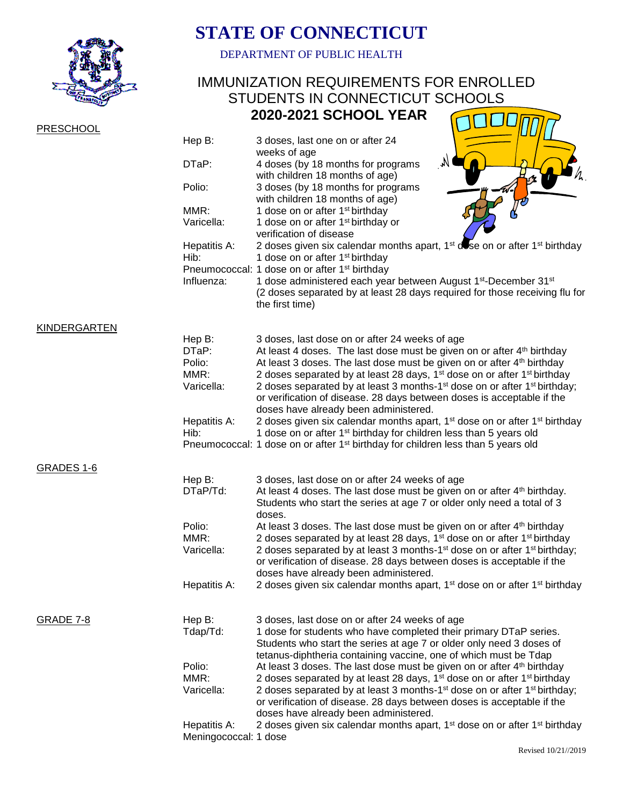

## **STATE OF CONNECTICUT**

DEPARTMENT OF PUBLIC HEALTH

## IMMUNIZATION REQUIREMENTS FOR ENROLLED STUDENTS IN CONNECTICUT SCHOOLS  **2020-2021 SCHOOL YEAR** COLORED

| <b>PRESCHOOL</b>    |                                       |                                                                                                                                                                                                                                                        |
|---------------------|---------------------------------------|--------------------------------------------------------------------------------------------------------------------------------------------------------------------------------------------------------------------------------------------------------|
|                     | Hep B:                                | 3 doses, last one on or after 24<br>weeks of age                                                                                                                                                                                                       |
|                     | DTaP:                                 | M<br>4 doses (by 18 months for programs<br>with children 18 months of age)                                                                                                                                                                             |
|                     | Polio:                                | 3 doses (by 18 months for programs<br>with children 18 months of age)                                                                                                                                                                                  |
|                     | MMR:                                  | 1 dose on or after 1 <sup>st</sup> birthday                                                                                                                                                                                                            |
|                     | Varicella:                            | 1 dose on or after 1 <sup>st</sup> birthday or<br>verification of disease                                                                                                                                                                              |
|                     | Hepatitis A:                          | 2 doses given six calendar months apart, 1 <sup>st</sup> dose on or after 1 <sup>st</sup> birthday                                                                                                                                                     |
|                     | Hib:                                  | 1 dose on or after 1 <sup>st</sup> birthday                                                                                                                                                                                                            |
|                     | Influenza:                            | Pneumococcal: 1 dose on or after 1 <sup>st</sup> birthday<br>1 dose administered each year between August 1 <sup>st</sup> -December 31 <sup>st</sup><br>(2 doses separated by at least 28 days required for those receiving flu for<br>the first time) |
| <b>KINDERGARTEN</b> |                                       |                                                                                                                                                                                                                                                        |
|                     | Hep B:<br>DTaP:                       | 3 doses, last dose on or after 24 weeks of age                                                                                                                                                                                                         |
|                     | Polio:                                | At least 4 doses. The last dose must be given on or after 4 <sup>th</sup> birthday<br>At least 3 doses. The last dose must be given on or after 4 <sup>th</sup> birthday                                                                               |
|                     | MMR:                                  | 2 doses separated by at least 28 days, 1 <sup>st</sup> dose on or after 1 <sup>st</sup> birthday                                                                                                                                                       |
|                     | Varicella:                            | 2 doses separated by at least 3 months-1 <sup>st</sup> dose on or after 1 <sup>st</sup> birthday;                                                                                                                                                      |
|                     |                                       | or verification of disease. 28 days between doses is acceptable if the                                                                                                                                                                                 |
|                     |                                       | doses have already been administered.                                                                                                                                                                                                                  |
|                     | Hepatitis A:<br>Hib:                  | 2 doses given six calendar months apart, 1 <sup>st</sup> dose on or after 1 <sup>st</sup> birthday<br>1 dose on or after 1 <sup>st</sup> birthday for children less than 5 years old                                                                   |
|                     |                                       | Pneumococcal: 1 dose on or after 1 <sup>st</sup> birthday for children less than 5 years old                                                                                                                                                           |
| GRADES 1-6          |                                       |                                                                                                                                                                                                                                                        |
|                     | Hep B:                                | 3 doses, last dose on or after 24 weeks of age                                                                                                                                                                                                         |
|                     | $DTaP/Td$ :                           | At least 4 doses. The last dose must be given on or after 4th birthday.<br>Students who start the series at age 7 or older only need a total of 3<br>doses.                                                                                            |
|                     | Polio:                                | At least 3 doses. The last dose must be given on or after 4 <sup>th</sup> birthday                                                                                                                                                                     |
|                     | MMR:                                  | 2 doses separated by at least 28 days, 1 <sup>st</sup> dose on or after 1 <sup>st</sup> birthday                                                                                                                                                       |
|                     | Varicella:                            | 2 doses separated by at least 3 months-1 <sup>st</sup> dose on or after 1 <sup>st</sup> birthday;<br>or verification of disease. 28 days between doses is acceptable if the<br>doses have already been administered.                                   |
|                     | Hepatitis A:                          | 2 doses given six calendar months apart, 1 <sup>st</sup> dose on or after 1 <sup>st</sup> birthday                                                                                                                                                     |
| <b>GRADE 7-8</b>    | Hep B:                                | 3 doses, last dose on or after 24 weeks of age                                                                                                                                                                                                         |
|                     | Tdap/Td:                              | 1 dose for students who have completed their primary DTaP series.                                                                                                                                                                                      |
|                     |                                       | Students who start the series at age 7 or older only need 3 doses of                                                                                                                                                                                   |
|                     |                                       | tetanus-diphtheria containing vaccine, one of which must be Tdap                                                                                                                                                                                       |
|                     | Polio:<br>MMR:                        | At least 3 doses. The last dose must be given on or after 4 <sup>th</sup> birthday<br>2 doses separated by at least 28 days, 1 <sup>st</sup> dose on or after 1 <sup>st</sup> birthday                                                                 |
|                     | Varicella:                            | 2 doses separated by at least 3 months-1 <sup>st</sup> dose on or after 1 <sup>st</sup> birthday;                                                                                                                                                      |
|                     |                                       | or verification of disease. 28 days between doses is acceptable if the                                                                                                                                                                                 |
|                     |                                       | doses have already been administered.                                                                                                                                                                                                                  |
|                     | Hepatitis A:<br>Meningococcal: 1 dose | 2 doses given six calendar months apart, 1 <sup>st</sup> dose on or after 1 <sup>st</sup> birthday                                                                                                                                                     |